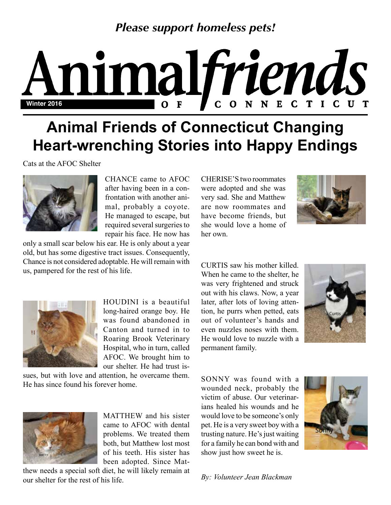## *Please support homeless pets!*

# Animalfriends

# **Animal Friends of Connecticut Changing Heart-wrenching Stories into Happy Endings**

Cats at the AFOC Shelter



CHANCE came to AFOC after having been in a confrontation with another animal, probably a coyote. He managed to escape, but required several surgeries to repair his face. He now has

only a small scar below his ear. He is only about a year old, but has some digestive tract issues. Consequently, Chance is not considered adoptable. He will remain with us, pampered for the rest of his life.



HOUDINI is a beautiful long-haired orange boy. He was found abandoned in Canton and turned in to Roaring Brook Veterinary Hospital, who in turn, called AFOC. We brought him to our shelter. He had trust is-

sues, but with love and attention, he overcame them. He has since found his forever home.



MATTHEW and his sister came to AFOC with dental problems. We treated them both, but Matthew lost most of his teeth. His sister has been adopted. Since Mat-

thew needs a special soft diet, he will likely remain at our shelter for the rest of his life.

CHERISE'S two roommates were adopted and she was very sad. She and Matthew are now roommates and have become friends, but she would love a home of her own.



CURTIS saw his mother killed. When he came to the shelter, he was very frightened and struck out with his claws. Now, a year later, after lots of loving attention, he purrs when petted, eats out of volunteer's hands and even nuzzles noses with them. He would love to nuzzle with a permanent family.



SONNY was found with a wounded neck, probably the victim of abuse. Our veterinarians healed his wounds and he would love to be someone's only pet. He is a very sweet boy with a trusting nature. He's just waiting for a family he can bond with and show just how sweet he is.



*By: Volunteer Jean Blackman*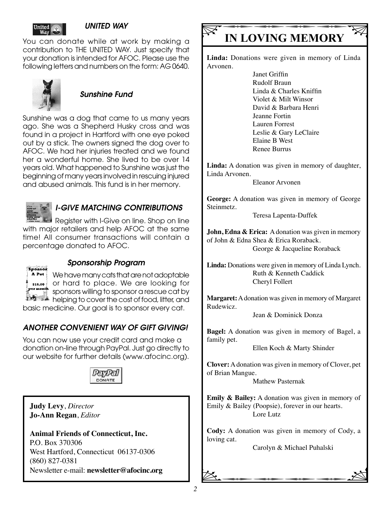

#### *UNITED WAY*

You can donate while at work by making a contribution to THE UNITED WAY. Just specify that your donation is intended for AFOC. Please use the following letters and numbers on the form: AG 0640.



#### *Sunshine Fund*

Sunshine was a dog that came to us many years ago. She was a Shepherd Husky cross and was found in a project in Hartford with one eye poked out by a stick. The owners signed the dog over to AFOC. We had her injuries treated and we found her a wonderful home. She lived to be over 14 years old. What happened to Sunshine was just the beginning of many years involved in rescuing injured and abused animals. This fund is in her memory.



#### *I-GIVE MATCHING CONTRIBUTIONS*

Register with I-Give on line. Shop on line with major retailers and help AFOC at the same time! All consumer transactions will contain a percentage donated to AFOC.



#### *Sponsorship Program*

We have many cats that are not adoptable or hard to place. We are looking for sponsors willing to sponsor a rescue cat by helping to cover the cost of food, litter, and

basic medicine. Our goal is to sponsor every cat.

#### *ANOTHER CONVENIENT WAY OF GIFT GIVING!*

You can now use your credit card and make a donation on-line through PayPal. Just go directly to our website for further details (www.afocinc.org).



**Judy Levy**, *Director* **Jo-Ann Regan**, *Editor*

**Animal Friends of Connecticut, Inc.** P.O. Box 370306 West Hartford, Connecticut 06137-0306 (860) 827-0381 Newsletter e-mail: **newsletter@afocinc.org**

## **IN LOVING MEMORY**

**Linda:** Donations were given in memory of Linda Arvonen.

> Janet Griffin Rudolf Braun Linda & Charles Kniffin Violet & Milt Winsor David & Barbara Henri Jeanne Fortin Lauren Forrest Leslie & Gary LeClaire Elaine B West Renee Burrus

**Linda:** A donation was given in memory of daughter, Linda Arvonen.

Eleanor Arvonen

**George:** A donation was given in memory of George Steinmetz.

Teresa Lapenta-Duffek

**John, Edna & Erica:** A donation was given in memory of John & Edna Shea & Erica Roraback. George & Jacqueline Roraback

**Linda:** Donations were given in memory of Linda Lynch. Ruth & Kenneth Caddick Cheryl Follert

**Margaret:** A donation was given in memory of Margaret Rudewicz.

Jean & Dominick Donza

**Bagel:** A donation was given in memory of Bagel, a family pet.

Ellen Koch & Marty Shinder

**Clover:** A donation was given in memory of Clover, pet of Brian Mangue.

Mathew Pasternak

**Emily & Bailey:** A donation was given in memory of Emily & Bailey (Poopsie), forever in our hearts. Lore Lutz

**Cody:** A donation was given in memory of Cody, a loving cat.

 $\alpha$ Carolyn & Michael Puhalski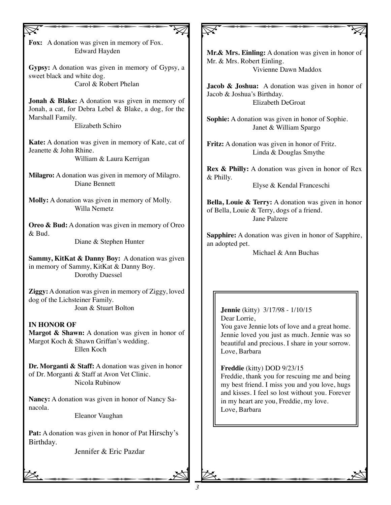$\nabla$ **Fox:** A donation was given in memory of Fox. Edward Hayden

**Gypsy:** A donation was given in memory of Gypsy, a sweet black and white dog. Carol & Robert Phelan

**Jonah & Blake:** A donation was given in memory of Jonah, a cat, for Debra Lebel & Blake, a dog, for the Marshall Family.

Elizabeth Schiro

**Kate:** A donation was given in memory of Kate, cat of Jeanette & John Rhine. William & Laura Kerrigan

**Milagro:** A donation was given in memory of Milagro. Diane Bennett

**Molly:** A donation was given in memory of Molly. Willa Nemetz

**Oreo & Bud:** A donation was given in memory of Oreo & Bud.

Diane & Stephen Hunter

**Sammy, KitKat & Danny Boy:** A donation was given in memory of Sammy, KitKat & Danny Boy. Dorothy Duessel

**Ziggy:** A donation was given in memory of Ziggy, loved dog of the Lichsteiner Family. Joan & Stuart Bolton

**IN HONOR OF Margot & Shawn:** A donation was given in honor of Margot Koch & Shawn Griffan's wedding. Ellen Koch

**Dr. Morganti & Staff:** A donation was given in honor of Dr. Morganti & Staff at Avon Vet Clinic. Nicola Rubinow

**Nancy:** A donation was given in honor of Nancy Sanacola. Eleanor Vaughan

**Pat:** A donation was given in honor of Pat Hirschy's Birthday.

Jennifer & Eric Pazdar<br>  $\sum_{n=1}^{\infty}$ Jennifer & Eric Pazdar

**Mr.& Mrs. Einling:** A donation was given in honor of Mr. & Mrs. Robert Einling. Vivienne Dawn Maddox

 $\nabla$ 

**Jacob & Joshua:** A donation was given in honor of Jacob & Joshua's Birthday. Elizabeth DeGroat

**Sophie:** A donation was given in honor of Sophie. Janet & William Spargo

**Fritz:** A donation was given in honor of Fritz. Linda & Douglas Smythe

**Rex & Philly:** A donation was given in honor of Rex & Philly.

Elyse & Kendal Franceschi

**Bella, Louie & Terry:** A donation was given in honor of Bella, Louie & Terry, dogs of a friend. Jane Palzere

**Sapphire:** A donation was given in honor of Sapphire, an adopted pet.

Michael & Ann Buchas

#### **Jennie** (kitty) 3/17/98 - 1/10/15 Dear Lorrie, You gave Jennie lots of love and a great home. Jennie loved you just as much. Jennie was so beautiful and precious. I share in your sorrow. Love, Barbara

**Freddie** (kitty) DOD 9/23/15 Freddie, thank you for rescuing me and being my best friend. I miss you and you love, hugs and kisses. I feel so lost without you. Forever in my heart are you, Freddie, my love. Love, Barbara

 $\alpha$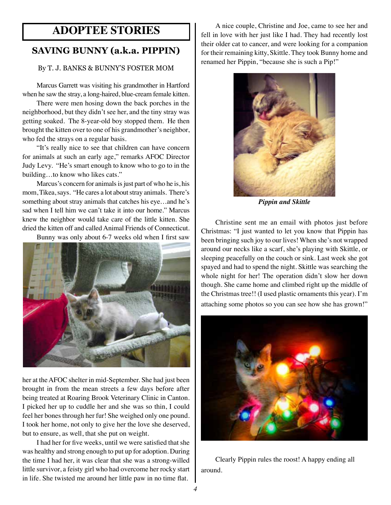### **ADOPTEE STORIES**

#### **SAVING BUNNY (a.k.a. PIPPIN)**

#### By T. J. BANKS & BUNNY'S FOSTER MOM

Marcus Garrett was visiting his grandmother in Hartford when he saw the stray, a long-haired, blue-cream female kitten.

There were men hosing down the back porches in the neighborhood, but they didn't see her, and the tiny stray was getting soaked. The 8-year-old boy stopped them. He then brought the kitten over to one of his grandmother's neighbor, who fed the strays on a regular basis.

"It's really nice to see that children can have concern for animals at such an early age," remarks AFOC Director Judy Levy. "He's smart enough to know who to go to in the building…to know who likes cats."

Marcus's concern for animals is just part of who he is, his mom, Tikea, says. "He cares a lot about stray animals. There's something about stray animals that catches his eye…and he's sad when I tell him we can't take it into our home." Marcus knew the neighbor would take care of the little kitten. She dried the kitten off and called Animal Friends of Connecticut.

Bunny was only about 6-7 weeks old when I first saw



her at the AFOC shelter in mid-September. She had just been brought in from the mean streets a few days before after being treated at Roaring Brook Veterinary Clinic in Canton. I picked her up to cuddle her and she was so thin, I could feel her bones through her fur! She weighed only one pound. I took her home, not only to give her the love she deserved, but to ensure, as well, that she put on weight.

I had her for five weeks, until we were satisfied that she was healthy and strong enough to put up for adoption. During the time I had her, it was clear that she was a strong-willed little survivor, a feisty girl who had overcome her rocky start in life. She twisted me around her little paw in no time flat.

A nice couple, Christine and Joe, came to see her and fell in love with her just like I had. They had recently lost their older cat to cancer, and were looking for a companion for their remaining kitty, Skittle. They took Bunny home and renamed her Pippin, "because she is such a Pip!"



*Pippin and Skittle*

Christine sent me an email with photos just before Christmas: "I just wanted to let you know that Pippin has been bringing such joy to our lives! When she's not wrapped around our necks like a scarf, she's playing with Skittle, or sleeping peacefully on the couch or sink. Last week she got spayed and had to spend the night. Skittle was searching the whole night for her! The operation didn't slow her down though. She came home and climbed right up the middle of the Christmas tree!! (I used plastic ornaments this year). I'm attaching some photos so you can see how she has grown!"



Clearly Pippin rules the roost! A happy ending all around.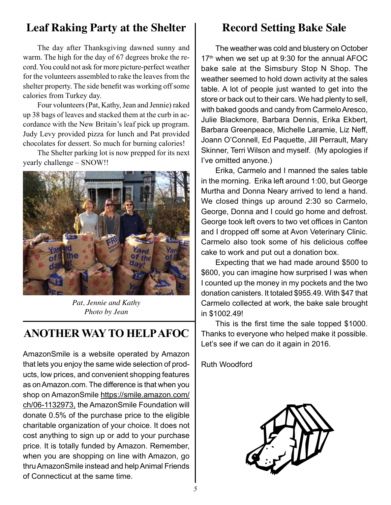## **Leaf Raking Party at the Shelter**

The day after Thanksgiving dawned sunny and warm. The high for the day of 67 degrees broke the record. You could not ask for more picture-perfect weather for the volunteers assembled to rake the leaves from the shelter property. The side benefit was working off some calories from Turkey day.

Four volunteers (Pat, Kathy, Jean and Jennie) raked up 38 bags of leaves and stacked them at the curb in accordance with the New Britain's leaf pick up program. Judy Levy provided pizza for lunch and Pat provided chocolates for dessert. So much for burning calories!

The Shelter parking lot is now prepped for its next yearly challenge – SNOW!!



*Pat, Jennie and Kathy Photo by Jean*

## **ANOTHER WAY TO HELP AFOC**

AmazonSmile is a website operated by Amazon that lets you enjoy the same wide selection of products, low prices, and convenient shopping features as on Amazon.com. The difference is that when you shop on AmazonSmile https://smile.amazon.com/ ch/06-1132973, the AmazonSmile Foundation will donate 0.5% of the purchase price to the eligible charitable organization of your choice. It does not cost anything to sign up or add to your purchase price. It is totally funded by Amazon. Remember, when you are shopping on line with Amazon, go thru AmazonSmile instead and help Animal Friends of Connecticut at the same time.

## **Record Setting Bake Sale**

The weather was cold and blustery on October  $17<sup>th</sup>$  when we set up at 9:30 for the annual AFOC bake sale at the Simsbury Stop N Shop. The weather seemed to hold down activity at the sales table. A lot of people just wanted to get into the store or back out to their cars. We had plenty to sell, with baked goods and candy from Carmelo Aresco, Julie Blackmore, Barbara Dennis, Erika Ekbert, Barbara Greenpeace, Michelle Laramie, Liz Neff, Joann O'Connell, Ed Paquette, Jill Perrault, Mary Skinner, Terri Wilson and myself. (My apologies if I've omitted anyone.)

Erika, Carmelo and I manned the sales table in the morning. Erika left around 1:00, but George Murtha and Donna Neary arrived to lend a hand. We closed things up around 2:30 so Carmelo, George, Donna and I could go home and defrost. George took left overs to two vet offices in Canton and I dropped off some at Avon Veterinary Clinic. Carmelo also took some of his delicious coffee cake to work and put out a donation box.

Expecting that we had made around \$500 to \$600, you can imagine how surprised I was when I counted up the money in my pockets and the two donation canisters. It totaled \$955.49. With \$47 that Carmelo collected at work, the bake sale brought in \$1002.49!

This is the first time the sale topped \$1000. Thanks to everyone who helped make it possible. Let's see if we can do it again in 2016.

Ruth Woodford